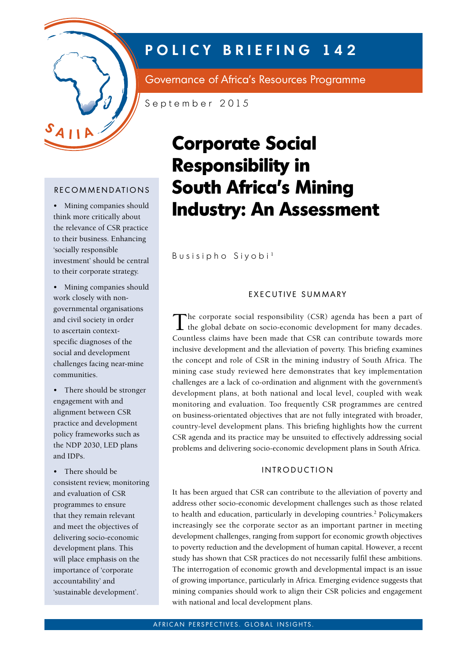

# **POLICY BRIEFING 142**

Governance of Africa's Resources Programme

September 2015

# RECOMMENDATIONS

• Mining companies should think more critically about the relevance of CSR practice to their business. Enhancing 'socially responsible investment' should be central to their corporate strategy.

• Mining companies should work closely with nongovernmental organisations and civil society in order to ascertain contextspecific diagnoses of the social and development challenges facing near-mine communities.

• There should be stronger engagement with and alignment between CSR practice and development policy frameworks such as the NDP 2030, LED plans and IDPs.

• There should be consistent review, monitoring and evaluation of CSR programmes to ensure that they remain relevant and meet the objectives of delivering socio-economic development plans. This will place emphasis on the importance of 'corporate accountability' and 'sustainable development'.

# **Corporate Social Responsibility in South Africa's Mining Industry: An Assessment**

Busisipho Siyobi <sup>1</sup>

### EXECUTIVE SUMMARY

The corporate social responsibility (CSR) agenda has been a part of the global debate on socio-economic development for many decades. Countless claims have been made that CSR can contribute towards more inclusive development and the alleviation of poverty. This briefing examines the concept and role of CSR in the mining industry of South Africa. The mining case study reviewed here demonstrates that key implementation challenges are a lack of co-ordination and alignment with the government's development plans, at both national and local level, coupled with weak monitoring and evaluation. Too frequently CSR programmes are centred on business-orientated objectives that are not fully integrated with broader, country-level development plans. This briefing highlights how the current CSR agenda and its practice may be unsuited to effectively addressing social problems and delivering socio-economic development plans in South Africa.

# **INTRODUCTION**

It has been argued that CSR can contribute to the alleviation of poverty and address other socio-economic development challenges such as those related to health and education, particularly in developing countries.<sup>2</sup> Policymakers increasingly see the corporate sector as an important partner in meeting development challenges, ranging from support for economic growth objectives to poverty reduction and the development of human capital. However, a recent study has shown that CSR practices do not necessarily fulfil these ambitions. The interrogation of economic growth and developmental impact is an issue of growing importance, particularly in Africa. Emerging evidence suggests that mining companies should work to align their CSR policies and engagement with national and local development plans.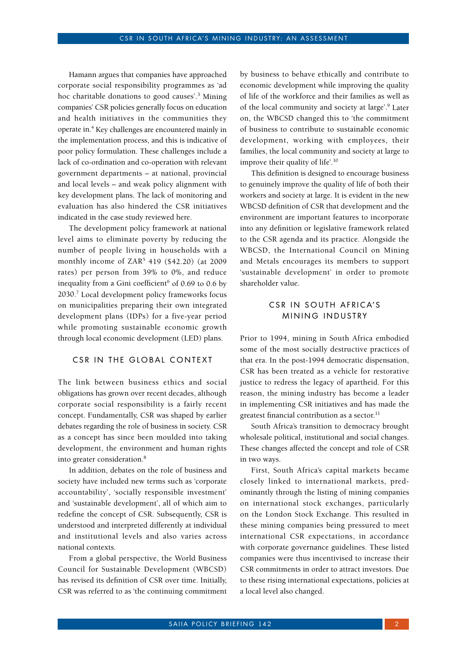Hamann argues that companies have approached corporate social responsibility programmes as 'ad hoc charitable donations to good causes'.3 Mining companies' CSR policies generally focus on education and health initiatives in the communities they operate in.<sup>4</sup> Key challenges are encountered mainly in the implementation process, and this is indicative of poor policy formulation. These challenges include a lack of co-ordination and co-operation with relevant government departments – at national, provincial and local levels – and weak policy alignment with key development plans. The lack of monitoring and evaluation has also hindered the CSR initiatives indicated in the case study reviewed here.

The development policy framework at national level aims to eliminate poverty by reducing the number of people living in households with a monthly income of ZAR5 419 (\$42.20) (at 2009 rates) per person from 39% to 0%, and reduce inequality from a Gini coefficient $^6$  of 0.69 to 0.6 by 2030.7 Local development policy frameworks focus on municipalities preparing their own integrated development plans (IDPs) for a five-year period while promoting sustainable economic growth through local economic development (LED) plans.

#### CSR IN THE GLOBAL CONTEXT

The link between business ethics and social obligations has grown over recent decades, although corporate social responsibility is a fairly recent concept. Fundamentally, CSR was shaped by earlier debates regarding the role of business in society. CSR as a concept has since been moulded into taking development, the environment and human rights into greater consideration.8

In addition, debates on the role of business and society have included new terms such as 'corporate accountability', 'socially responsible investment' and 'sustainable development', all of which aim to redefine the concept of CSR. Subsequently, CSR is understood and interpreted differently at individual and institutional levels and also varies across national contexts.

From a global perspective, the World Business Council for Sustainable Development (WBCSD) has revised its definition of CSR over time. Initially, CSR was referred to as 'the continuing commitment by business to behave ethically and contribute to economic development while improving the quality of life of the workforce and their families as well as of the local community and society at large'.9 Later on, the WBCSD changed this to 'the commitment of business to contribute to sustainable economic development, working with employees, their families, the local community and society at large to improve their quality of life'.10

This definition is designed to encourage business to genuinely improve the quality of life of both their workers and society at large. It is evident in the new WBCSD definition of CSR that development and the environment are important features to incorporate into any definition or legislative framework related to the CSR agenda and its practice. Alongside the WBCSD, the International Council on Mining and Metals encourages its members to support 'sustainable development' in order to promote shareholder value.

# CSR IN SOUTH AFRICA'S MINING INDUSTRY

Prior to 1994, mining in South Africa embodied some of the most socially destructive practices of that era. In the post-1994 democratic dispensation, CSR has been treated as a vehicle for restorative justice to redress the legacy of apartheid. For this reason, the mining industry has become a leader in implementing CSR initiatives and has made the greatest financial contribution as a sector.<sup>11</sup>

South Africa's transition to democracy brought wholesale political, institutional and social changes. These changes affected the concept and role of CSR in two ways.

First, South Africa's capital markets became closely linked to international markets, predominantly through the listing of mining companies on international stock exchanges, particularly on the London Stock Exchange. This resulted in these mining companies being pressured to meet international CSR expectations, in accordance with corporate governance guidelines. These listed companies were thus incentivised to increase their CSR commitments in order to attract investors. Due to these rising international expectations, policies at a local level also changed.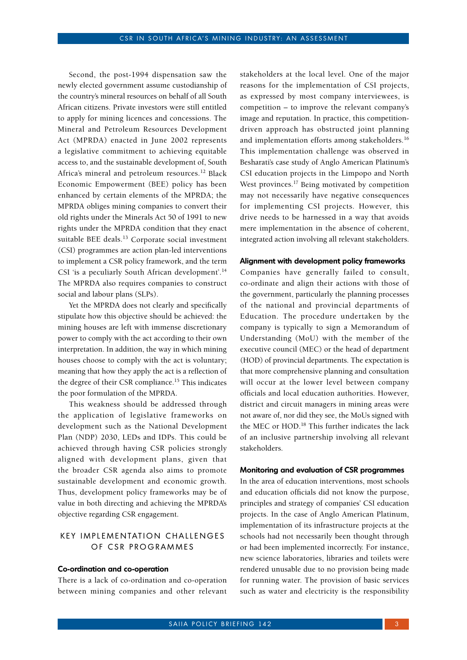Second, the post-1994 dispensation saw the newly elected government assume custodianship of the country's mineral resources on behalf of all South African citizens. Private investors were still entitled to apply for mining licences and concessions. The Mineral and Petroleum Resources Development Act (MPRDA) enacted in June 2002 represents a legislative commitment to achieving equitable access to, and the sustainable development of, South Africa's mineral and petroleum resources.12 Black Economic Empowerment (BEE) policy has been enhanced by certain elements of the MPRDA; the MPRDA obliges mining companies to convert their old rights under the Minerals Act 50 of 1991 to new rights under the MPRDA condition that they enact suitable BEE deals.<sup>13</sup> Corporate social investment (CSI) programmes are action plan-led interventions to implement a CSR policy framework, and the term CSI 'is a peculiarly South African development'.<sup>14</sup> The MPRDA also requires companies to construct social and labour plans (SLPs).

Yet the MPRDA does not clearly and specifically stipulate how this objective should be achieved: the mining houses are left with immense discretionary power to comply with the act according to their own interpretation. In addition, the way in which mining houses choose to comply with the act is voluntary; meaning that how they apply the act is a reflection of the degree of their CSR compliance.15 This indicates the poor formulation of the MPRDA.

This weakness should be addressed through the application of legislative frameworks on development such as the National Development Plan (NDP) 2030, LEDs and IDPs. This could be achieved through having CSR policies strongly aligned with development plans, given that the broader CSR agenda also aims to promote sustainable development and economic growth. Thus, development policy frameworks may be of value in both directing and achieving the MPRDA's objective regarding CSR engagement.

# KEY IMPLEMENTATION CHALLENGES OF CSR PROGRAMMES

#### **Co-ordination and co-operation**

There is a lack of co-ordination and co-operation between mining companies and other relevant stakeholders at the local level. One of the major reasons for the implementation of CSI projects, as expressed by most company interviewees, is competition – to improve the relevant company's image and reputation. In practice, this competitiondriven approach has obstructed joint planning and implementation efforts among stakeholders.<sup>16</sup> This implementation challenge was observed in Besharati's case study of Anglo American Platinum's CSI education projects in the Limpopo and North West provinces.<sup>17</sup> Being motivated by competition may not necessarily have negative consequences for implementing CSI projects. However, this drive needs to be harnessed in a way that avoids mere implementation in the absence of coherent, integrated action involving all relevant stakeholders.

#### **Alignment with development policy frameworks**

Companies have generally failed to consult, co-ordinate and align their actions with those of the government, particularly the planning processes of the national and provincial departments of Education. The procedure undertaken by the company is typically to sign a Memorandum of Understanding (MoU) with the member of the executive council (MEC) or the head of department (HOD) of provincial departments. The expectation is that more comprehensive planning and consultation will occur at the lower level between company officials and local education authorities. However, district and circuit managers in mining areas were not aware of, nor did they see, the MoUs signed with the MEC or HOD.<sup>18</sup> This further indicates the lack of an inclusive partnership involving all relevant stakeholders.

#### **Monitoring and evaluation of CSR programmes**

In the area of education interventions, most schools and education officials did not know the purpose, principles and strategy of companies' CSI education projects. In the case of Anglo American Platinum, implementation of its infrastructure projects at the schools had not necessarily been thought through or had been implemented incorrectly. For instance, new science laboratories, libraries and toilets were rendered unusable due to no provision being made for running water. The provision of basic services such as water and electricity is the responsibility